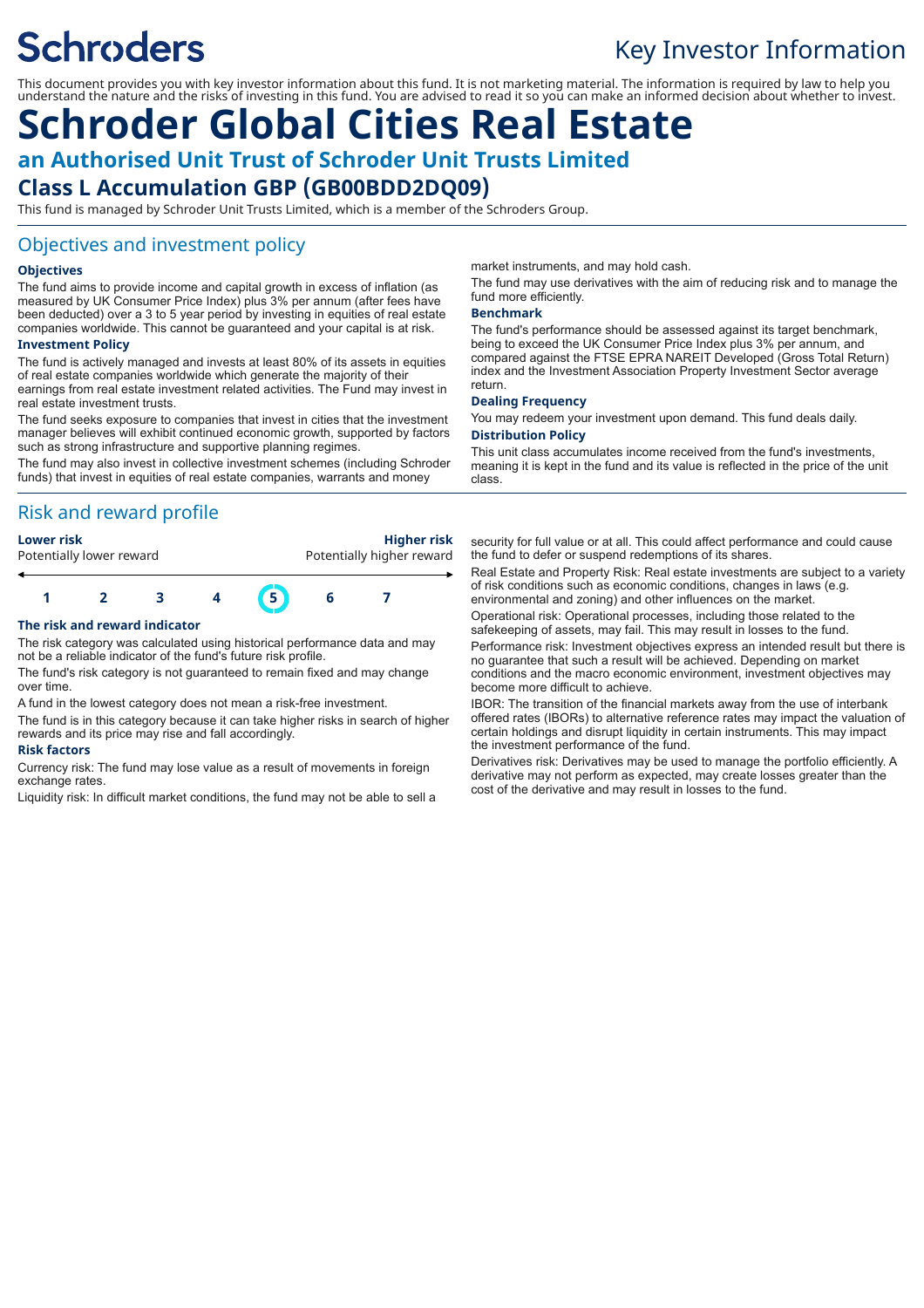# **Schroders**

# Key Investor Information

This document provides you with key investor information about this fund. It is not marketing material. The information is required by law to help you understand the nature and the risks of investing in this fund. You are advised to read it so you can make an informed decision about whether to invest.

# **Schroder Global Cities Real Estate an Authorised Unit Trust of Schroder Unit Trusts Limited Class L Accumulation GBP (GB00BDD2DQ09)**

This fund is managed by Schroder Unit Trusts Limited, which is a member of the Schroders Group.

## Objectives and investment policy

#### **Objectives**

The fund aims to provide income and capital growth in excess of inflation (as measured by UK Consumer Price Index) plus 3% per annum (after fees have been deducted) over a 3 to 5 year period by investing in equities of real estate companies worldwide. This cannot be guaranteed and your capital is at risk.

#### **Investment Policy**

The fund is actively managed and invests at least 80% of its assets in equities of real estate companies worldwide which generate the majority of their earnings from real estate investment related activities. The Fund may invest in real estate investment trusts.

The fund seeks exposure to companies that invest in cities that the investment manager believes will exhibit continued economic growth, supported by factors such as strong infrastructure and supportive planning regimes.

The fund may also invest in collective investment schemes (including Schroder funds) that invest in equities of real estate companies, warrants and money

# Risk and reward profile

| Lower risk               | <b>Higher risk</b>        |
|--------------------------|---------------------------|
| Potentially lower reward | Potentially higher reward |
|                          |                           |



#### **The risk and reward indicator**

The risk category was calculated using historical performance data and may not be a reliable indicator of the fund's future risk profile.

The fund's risk category is not guaranteed to remain fixed and may change over time.

A fund in the lowest category does not mean a risk-free investment.

The fund is in this category because it can take higher risks in search of higher rewards and its price may rise and fall accordingly.

#### **Risk factors**

Currency risk: The fund may lose value as a result of movements in foreign exchange rates

Liquidity risk: In difficult market conditions, the fund may not be able to sell a

market instruments, and may hold cash.

The fund may use derivatives with the aim of reducing risk and to manage the fund more efficiently.

#### **Benchmark**

The fund's performance should be assessed against its target benchmark, being to exceed the UK Consumer Price Index plus 3% per annum, and compared against the FTSE EPRA NAREIT Developed (Gross Total Return) index and the Investment Association Property Investment Sector average return.

#### **Dealing Frequency**

You may redeem your investment upon demand. This fund deals daily. **Distribution Policy**

This unit class accumulates income received from the fund's investments, meaning it is kept in the fund and its value is reflected in the price of the unit class.

security for full value or at all. This could affect performance and could cause the fund to defer or suspend redemptions of its shares.

Real Estate and Property Risk: Real estate investments are subject to a variety of risk conditions such as economic conditions, changes in laws (e.g. environmental and zoning) and other influences on the market.

Operational risk: Operational processes, including those related to the safekeeping of assets, may fail. This may result in losses to the fund.

Performance risk: Investment objectives express an intended result but there is no guarantee that such a result will be achieved. Depending on market conditions and the macro economic environment, investment objectives may become more difficult to achieve.

IBOR: The transition of the financial markets away from the use of interbank offered rates (IBORs) to alternative reference rates may impact the valuation of certain holdings and disrupt liquidity in certain instruments. This may impact the investment performance of the fund.

Derivatives risk: Derivatives may be used to manage the portfolio efficiently. A derivative may not perform as expected, may create losses greater than the cost of the derivative and may result in losses to the fund.